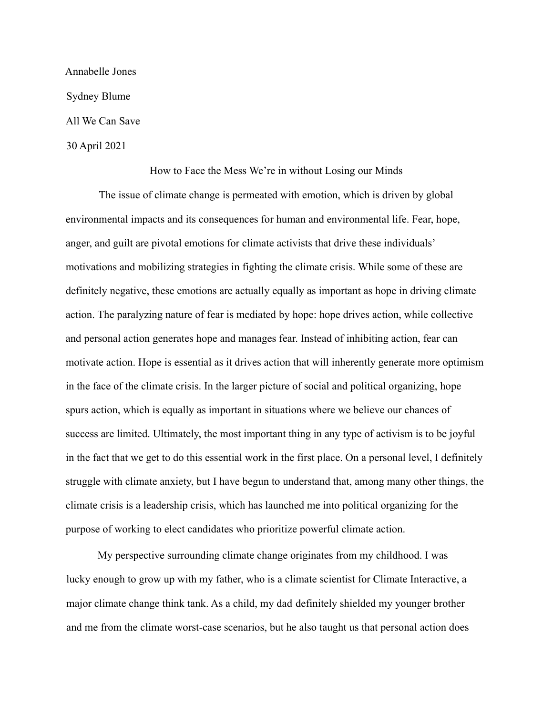Annabelle Jones Sydney Blume All We Can Save 30 April 2021

## How to Face the Mess We're in without Losing our Minds

The issue of climate change is permeated with emotion, which is driven by global environmental impacts and its consequences for human and environmental life. Fear, hope, anger, and guilt are pivotal emotions for climate activists that drive these individuals' motivations and mobilizing strategies in fighting the climate crisis. While some of these are definitely negative, these emotions are actually equally as important as hope in driving climate action. The paralyzing nature of fear is mediated by hope: hope drives action, while collective and personal action generates hope and manages fear. Instead of inhibiting action, fear can motivate action. Hope is essential as it drives action that will inherently generate more optimism in the face of the climate crisis. In the larger picture of social and political organizing, hope spurs action, which is equally as important in situations where we believe our chances of success are limited. Ultimately, the most important thing in any type of activism is to be joyful in the fact that we get to do this essential work in the first place. On a personal level, I definitely struggle with climate anxiety, but I have begun to understand that, among many other things, the climate crisis is a leadership crisis, which has launched me into political organizing for the purpose of working to elect candidates who prioritize powerful climate action.

My perspective surrounding climate change originates from my childhood. I was lucky enough to grow up with my father, who is a climate scientist for Climate Interactive, a major climate change think tank. As a child, my dad definitely shielded my younger brother and me from the climate worst-case scenarios, but he also taught us that personal action does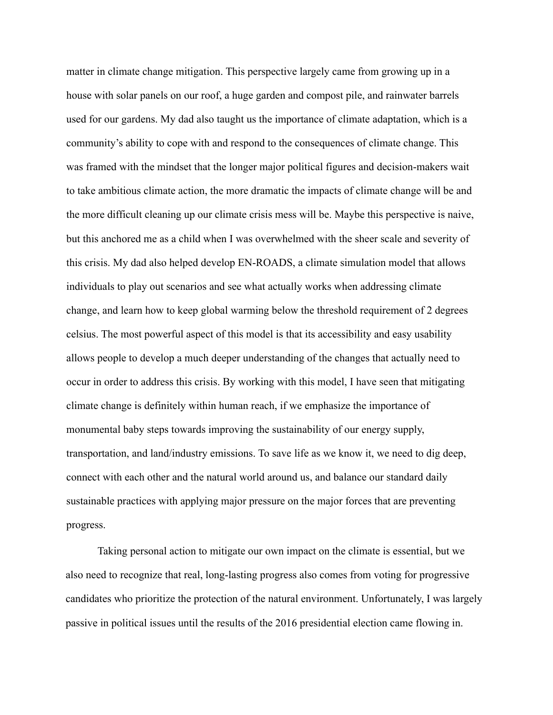matter in climate change mitigation. This perspective largely came from growing up in a house with solar panels on our roof, a huge garden and compost pile, and rainwater barrels used for our gardens. My dad also taught us the importance of climate adaptation, which is a community's ability to cope with and respond to the consequences of climate change. This was framed with the mindset that the longer major political figures and decision-makers wait to take ambitious climate action, the more dramatic the impacts of climate change will be and the more difficult cleaning up our climate crisis mess will be. Maybe this perspective is naive, but this anchored me as a child when I was overwhelmed with the sheer scale and severity of this crisis. My dad also helped develop EN-ROADS, a climate simulation model that allows individuals to play out scenarios and see what actually works when addressing climate change, and learn how to keep global warming below the threshold requirement of 2 degrees celsius. The most powerful aspect of this model is that its accessibility and easy usability allows people to develop a much deeper understanding of the changes that actually need to occur in order to address this crisis. By working with this model, I have seen that mitigating climate change is definitely within human reach, if we emphasize the importance of monumental baby steps towards improving the sustainability of our energy supply, transportation, and land/industry emissions. To save life as we know it, we need to dig deep, connect with each other and the natural world around us, and balance our standard daily sustainable practices with applying major pressure on the major forces that are preventing progress.

Taking personal action to mitigate our own impact on the climate is essential, but we also need to recognize that real, long-lasting progress also comes from voting for progressive candidates who prioritize the protection of the natural environment. Unfortunately, I was largely passive in political issues until the results of the 2016 presidential election came flowing in.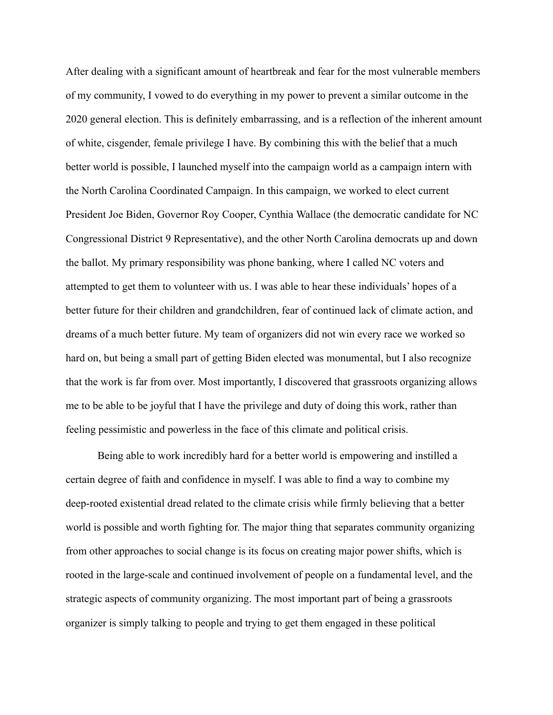After dealing with a significant amount of heartbreak and fear for the most vulnerable members of my community, I vowed to do everything in my power to prevent a similar outcome in the 2020 general election. This is definitely embarrassing, and is a reflection of the inherent amount of white, cisgender, female privilege I have. By combining this with the belief that a much better world is possible, I launched myself into the campaign world as a campaign intern with the North Carolina Coordinated Campaign. In this campaign, we worked to elect current President Joe Biden, Governor Roy Cooper, Cynthia Wallace (the democratic candidate for NC Congressional District 9 Representative), and the other North Carolina democrats up and down the ballot. My primary responsibility was phone banking, where I called NC voters and attempted to get them to volunteer with us. I was able to hear these individuals' hopes of a better future for their children and grandchildren, fear of continued lack of climate action, and dreams of a much better future. My team of organizers did not win every race we worked so hard on, but being a small part of getting Biden elected was monumental, but I also recognize that the work is far from over. Most importantly, I discovered that grassroots organizing allows me to be able to be joyful that I have the privilege and duty of doing this work, rather than feeling pessimistic and powerless in the face of this climate and political crisis.

Being able to work incredibly hard for a better world is empowering and instilled a certain degree of faith and confidence in myself. I was able to find a way to combine my deep-rooted existential dread related to the climate crisis while firmly believing that a better world is possible and worth fighting for. The major thing that separates community organizing from other approaches to social change is its focus on creating major power shifts, which is rooted in the large-scale and continued involvement of people on a fundamental level, and the strategic aspects of community organizing. The most important part of being a grassroots organizer is simply talking to people and trying to get them engaged in these political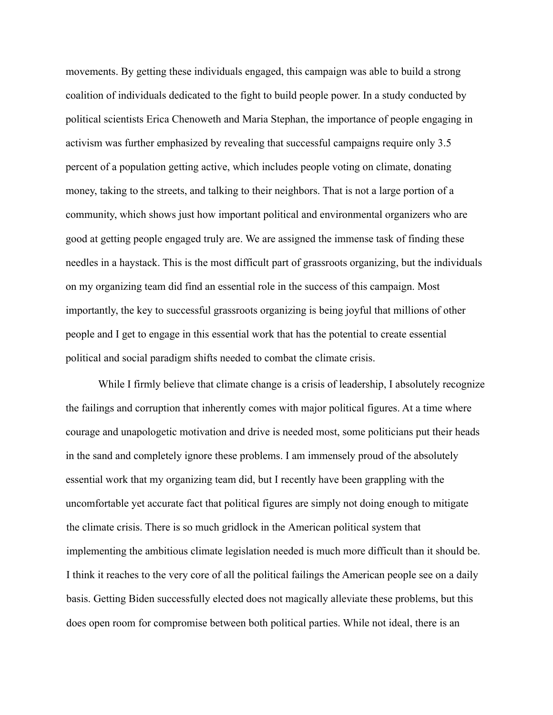movements. By getting these individuals engaged, this campaign was able to build a strong coalition of individuals dedicated to the fight to build people power. In a study conducted by political scientists Erica Chenoweth and Maria Stephan, the importance of people engaging in activism was further emphasized by revealing that successful campaigns require only 3.5 percent of a population getting active, which includes people voting on climate, donating money, taking to the streets, and talking to their neighbors. That is not a large portion of a community, which shows just how important political and environmental organizers who are good at getting people engaged truly are. We are assigned the immense task of finding these needles in a haystack. This is the most difficult part of grassroots organizing, but the individuals on my organizing team did find an essential role in the success of this campaign. Most importantly, the key to successful grassroots organizing is being joyful that millions of other people and I get to engage in this essential work that has the potential to create essential political and social paradigm shifts needed to combat the climate crisis.

While I firmly believe that climate change is a crisis of leadership, I absolutely recognize the failings and corruption that inherently comes with major political figures. At a time where courage and unapologetic motivation and drive is needed most, some politicians put their heads in the sand and completely ignore these problems. I am immensely proud of the absolutely essential work that my organizing team did, but I recently have been grappling with the uncomfortable yet accurate fact that political figures are simply not doing enough to mitigate the climate crisis. There is so much gridlock in the American political system that implementing the ambitious climate legislation needed is much more difficult than it should be. I think it reaches to the very core of all the political failings the American people see on a daily basis. Getting Biden successfully elected does not magically alleviate these problems, but this does open room for compromise between both political parties. While not ideal, there is an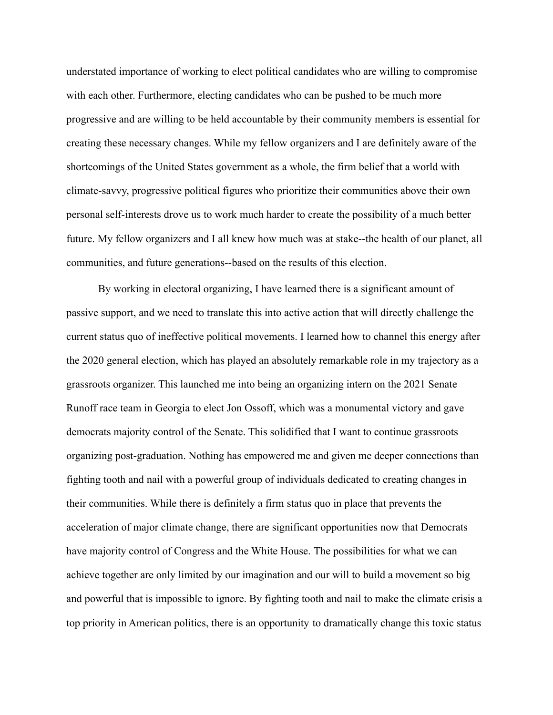understated importance of working to elect political candidates who are willing to compromise with each other. Furthermore, electing candidates who can be pushed to be much more progressive and are willing to be held accountable by their community members is essential for creating these necessary changes. While my fellow organizers and I are definitely aware of the shortcomings of the United States government as a whole, the firm belief that a world with climate-savvy, progressive political figures who prioritize their communities above their own personal self-interests drove us to work much harder to create the possibility of a much better future. My fellow organizers and I all knew how much was at stake--the health of our planet, all communities, and future generations--based on the results of this election.

By working in electoral organizing, I have learned there is a significant amount of passive support, and we need to translate this into active action that will directly challenge the current status quo of ineffective political movements. I learned how to channel this energy after the 2020 general election, which has played an absolutely remarkable role in my trajectory as a grassroots organizer. This launched me into being an organizing intern on the 2021 Senate Runoff race team in Georgia to elect Jon Ossoff, which was a monumental victory and gave democrats majority control of the Senate. This solidified that I want to continue grassroots organizing post-graduation. Nothing has empowered me and given me deeper connections than fighting tooth and nail with a powerful group of individuals dedicated to creating changes in their communities. While there is definitely a firm status quo in place that prevents the acceleration of major climate change, there are significant opportunities now that Democrats have majority control of Congress and the White House. The possibilities for what we can achieve together are only limited by our imagination and our will to build a movement so big and powerful that is impossible to ignore. By fighting tooth and nail to make the climate crisis a top priority in American politics, there is an opportunity to dramatically change this toxic status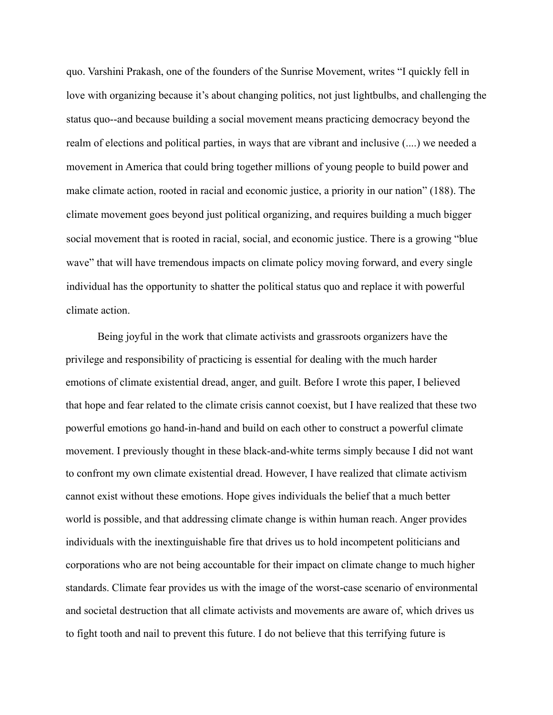quo. Varshini Prakash, one of the founders of the Sunrise Movement, writes "I quickly fell in love with organizing because it's about changing politics, not just lightbulbs, and challenging the status quo--and because building a social movement means practicing democracy beyond the realm of elections and political parties, in ways that are vibrant and inclusive (....) we needed a movement in America that could bring together millions of young people to build power and make climate action, rooted in racial and economic justice, a priority in our nation" (188). The climate movement goes beyond just political organizing, and requires building a much bigger social movement that is rooted in racial, social, and economic justice. There is a growing "blue wave" that will have tremendous impacts on climate policy moving forward, and every single individual has the opportunity to shatter the political status quo and replace it with powerful climate action.

Being joyful in the work that climate activists and grassroots organizers have the privilege and responsibility of practicing is essential for dealing with the much harder emotions of climate existential dread, anger, and guilt. Before I wrote this paper, I believed that hope and fear related to the climate crisis cannot coexist, but I have realized that these two powerful emotions go hand-in-hand and build on each other to construct a powerful climate movement. I previously thought in these black-and-white terms simply because I did not want to confront my own climate existential dread. However, I have realized that climate activism cannot exist without these emotions. Hope gives individuals the belief that a much better world is possible, and that addressing climate change is within human reach. Anger provides individuals with the inextinguishable fire that drives us to hold incompetent politicians and corporations who are not being accountable for their impact on climate change to much higher standards. Climate fear provides us with the image of the worst-case scenario of environmental and societal destruction that all climate activists and movements are aware of, which drives us to fight tooth and nail to prevent this future. I do not believe that this terrifying future is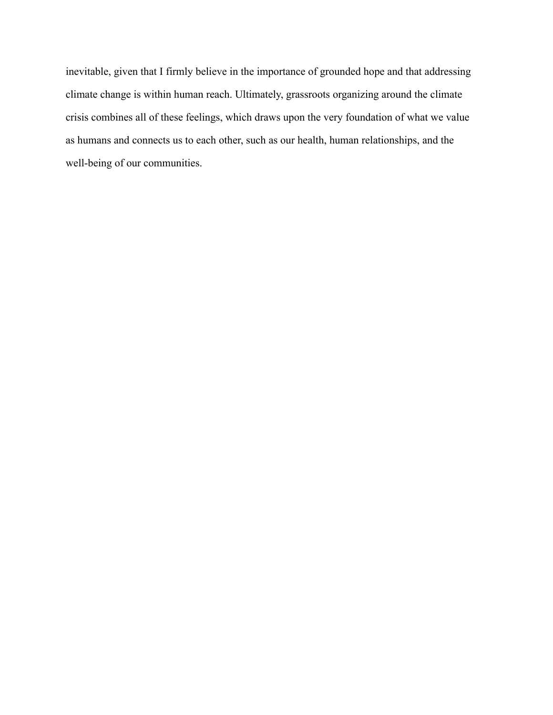inevitable, given that I firmly believe in the importance of grounded hope and that addressing climate change is within human reach. Ultimately, grassroots organizing around the climate crisis combines all of these feelings, which draws upon the very foundation of what we value as humans and connects us to each other, such as our health, human relationships, and the well-being of our communities.